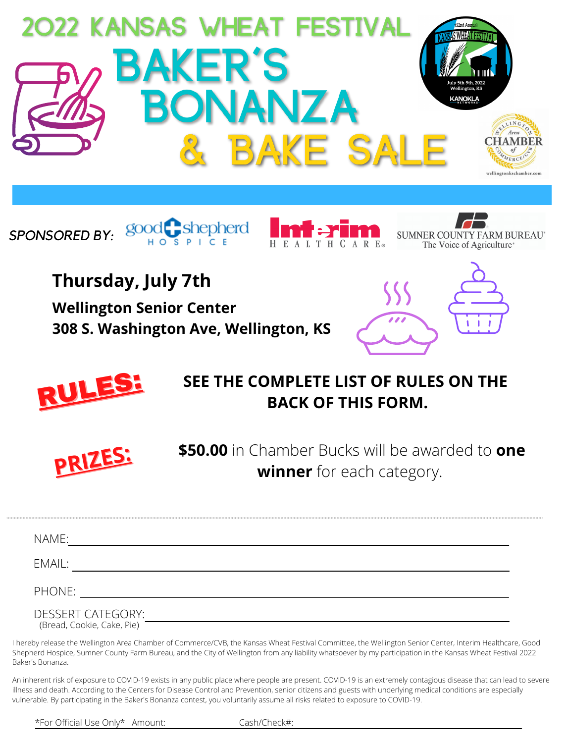









**Thursday, July 7th**

**Wellington Senior Center 308 S. Washington Ave, Wellington, KS**





## **SEE THE COMPLETE LIST OF RULES ON THE RULES:** SEE THE COMPLETE LIST OF RULI



**PRIZES: PRIZES: \$50.00** in Chamber Bucks will be awarded to **one winner** for each category.

| NAME:                                                  |  |  |
|--------------------------------------------------------|--|--|
| EMAIL:                                                 |  |  |
| PHONE:                                                 |  |  |
| <b>DESSERT CATEGORY:</b><br>(Bread, Cookie, Cake, Pie) |  |  |
|                                                        |  |  |

I hereby release the Wellington Area Chamber of Commerce/CVB, the Kansas Wheat Festival Committee, the Wellington Senior Center, Interim Healthcare, Good Shepherd Hospice, Sumner County Farm Bureau, and the City of Wellington from any liability whatsoever by my participation in the Kansas Wheat Festival 2022 Baker's Bonanza.

An inherent risk of exposure to COVID-19 exists in any public place where people are present. COVID-19 is an extremely contagious disease that can lead to severe illness and death. According to the Centers for Disease Control and Prevention, senior citizens and guests with underlying medical conditions are especially vulnerable. By participating in the Baker's Bonanza contest, you voluntarily assume all risks related to exposure to COVID-19.